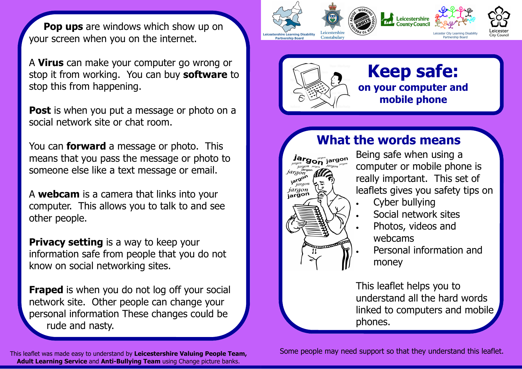**Pop ups** are windows which show up on your screen when you on the internet.

A Virus can make your computer go wrong or stop it from working. You can buy **software** to stop this from happening.

**Post** is when you put a message or photo on a social network site or chat room.

You can **forward** a message or photo. This means that you pass the message or photo to someone else like a text message or email.

A webcam is a camera that links into your computer. This allows you to talk to and see other people.

**Privacy setting** is a way to keep your information safe from people that you do not know on social networking sites.

**Fraped** is when you do not log off your social network site. Other people can change your personal information These changes could be rude and nasty.

This leaflet was made easy to understand by Leicestershire Valuing People Team, Adult Learning Service and Anti-Bullying Team using Change picture banks.





## What the words means

 $\boldsymbol{J}$ argon yargon jargon araon jargon jargon

Being safe when using a computer or mobile phone is really important. This set of leaflets gives you safety tips on

- Cyber bullying
- Social network sites
- Photos, videos and webcams
	- Personal information and money

This leaflet helps you to understand all the hard words linked to computers and mobile phones.